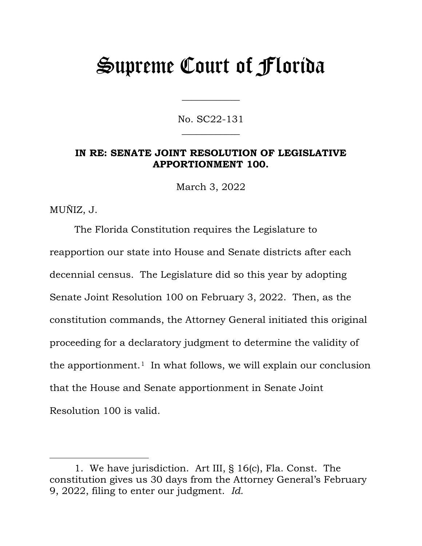# Supreme Court of Florida

No. SC22-131  $\overline{\phantom{a}}$ 

 $\overline{\phantom{a}}$ 

# **IN RE: SENATE JOINT RESOLUTION OF LEGISLATIVE APPORTIONMENT 100.**

March 3, 2022

MUÑIZ, J.

The Florida Constitution requires the Legislature to reapportion our state into House and Senate districts after each decennial census. The Legislature did so this year by adopting Senate Joint Resolution 100 on February 3, 2022. Then, as the constitution commands, the Attorney General initiated this original proceeding for a declaratory judgment to determine the validity of the apportionment.<sup>[1](#page-0-0)</sup> In what follows, we will explain our conclusion that the House and Senate apportionment in Senate Joint Resolution 100 is valid.

<span id="page-0-0"></span><sup>1.</sup> We have jurisdiction. Art III, § 16(c), Fla. Const. The constitution gives us 30 days from the Attorney General's February 9, 2022, filing to enter our judgment. *Id.*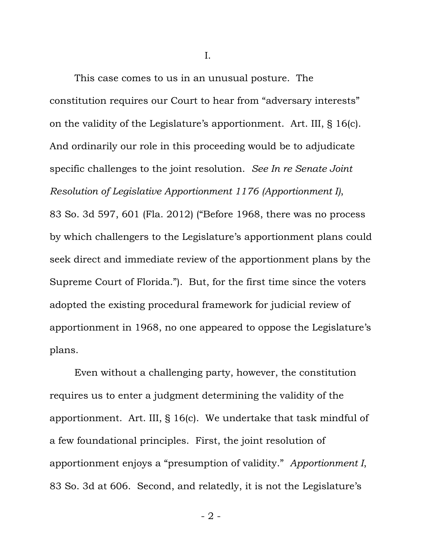I.

This case comes to us in an unusual posture. The constitution requires our Court to hear from "adversary interests" on the validity of the Legislature's apportionment. Art. III, § 16(c). And ordinarily our role in this proceeding would be to adjudicate specific challenges to the joint resolution. *See In re Senate Joint Resolution of Legislative Apportionment 1176 (Apportionment I)*, 83 So. 3d 597, 601 (Fla. 2012) ("Before 1968, there was no process by which challengers to the Legislature's apportionment plans could seek direct and immediate review of the apportionment plans by the Supreme Court of Florida."). But, for the first time since the voters adopted the existing procedural framework for judicial review of apportionment in 1968, no one appeared to oppose the Legislature's plans.

Even without a challenging party, however, the constitution requires us to enter a judgment determining the validity of the apportionment. Art. III, § 16(c). We undertake that task mindful of a few foundational principles. First, the joint resolution of apportionment enjoys a "presumption of validity." *Apportionment I*, 83 So. 3d at 606. Second, and relatedly, it is not the Legislature's

- 2 -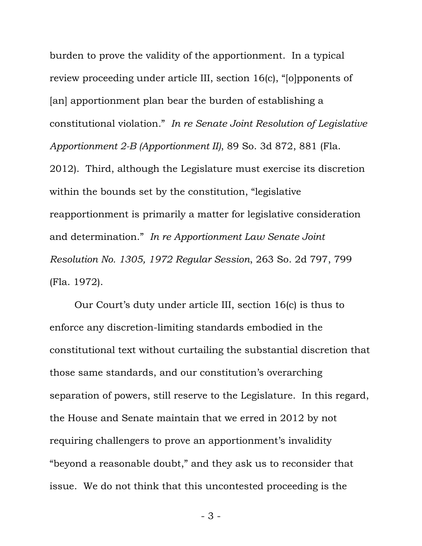burden to prove the validity of the apportionment. In a typical review proceeding under article III, section 16(c), "[o]pponents of [an] apportionment plan bear the burden of establishing a constitutional violation*.*" *In re Senate Joint Resolution of Legislative Apportionment 2-B (Apportionment II)*, 89 So. 3d 872, 881 (Fla. 2012). Third, although the Legislature must exercise its discretion within the bounds set by the constitution, "legislative reapportionment is primarily a matter for legislative consideration and determination." *In re Apportionment Law Senate Joint Resolution No. 1305, 1972 Regular Session*, 263 So. 2d 797, 799 (Fla. 1972).

Our Court's duty under article III, section 16(c) is thus to enforce any discretion-limiting standards embodied in the constitutional text without curtailing the substantial discretion that those same standards, and our constitution's overarching separation of powers, still reserve to the Legislature. In this regard, the House and Senate maintain that we erred in 2012 by not requiring challengers to prove an apportionment's invalidity "beyond a reasonable doubt," and they ask us to reconsider that issue. We do not think that this uncontested proceeding is the

- 3 -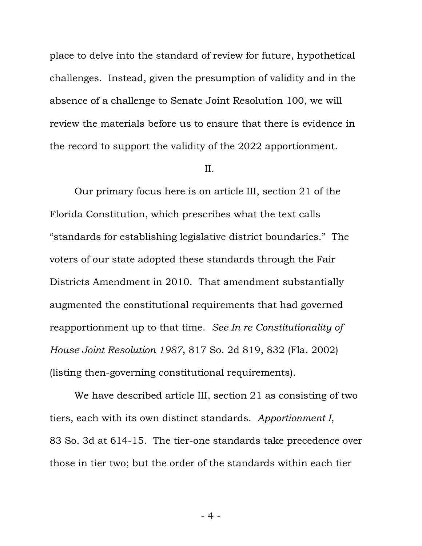place to delve into the standard of review for future, hypothetical challenges. Instead, given the presumption of validity and in the absence of a challenge to Senate Joint Resolution 100, we will review the materials before us to ensure that there is evidence in the record to support the validity of the 2022 apportionment.

### II.

Our primary focus here is on article III, section 21 of the Florida Constitution, which prescribes what the text calls "standards for establishing legislative district boundaries." The voters of our state adopted these standards through the Fair Districts Amendment in 2010. That amendment substantially augmented the constitutional requirements that had governed reapportionment up to that time. *See In re Constitutionality of House Joint Resolution 1987*, 817 So. 2d 819, 832 (Fla. 2002) (listing then-governing constitutional requirements).

We have described article III, section 21 as consisting of two tiers, each with its own distinct standards. *Apportionment I*, 83 So. 3d at 614-15. The tier-one standards take precedence over those in tier two; but the order of the standards within each tier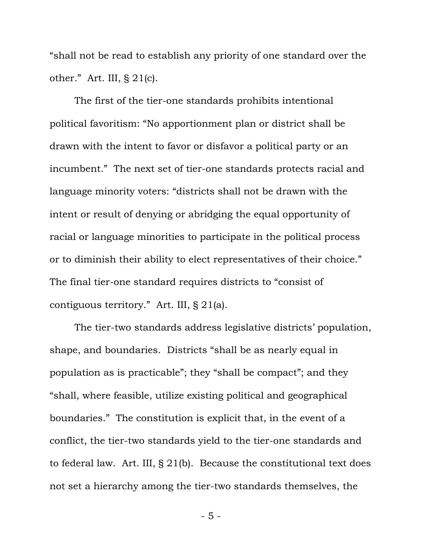"shall not be read to establish any priority of one standard over the other." Art. III, § 21(c).

The first of the tier-one standards prohibits intentional political favoritism: "No apportionment plan or district shall be drawn with the intent to favor or disfavor a political party or an incumbent." The next set of tier-one standards protects racial and language minority voters: "districts shall not be drawn with the intent or result of denying or abridging the equal opportunity of racial or language minorities to participate in the political process or to diminish their ability to elect representatives of their choice." The final tier-one standard requires districts to "consist of contiguous territory." Art. III, § 21(a).

The tier-two standards address legislative districts' population, shape, and boundaries. Districts "shall be as nearly equal in population as is practicable"; they "shall be compact"; and they "shall, where feasible, utilize existing political and geographical boundaries." The constitution is explicit that, in the event of a conflict, the tier-two standards yield to the tier-one standards and to federal law. Art. III, § 21(b). Because the constitutional text does not set a hierarchy among the tier-two standards themselves, the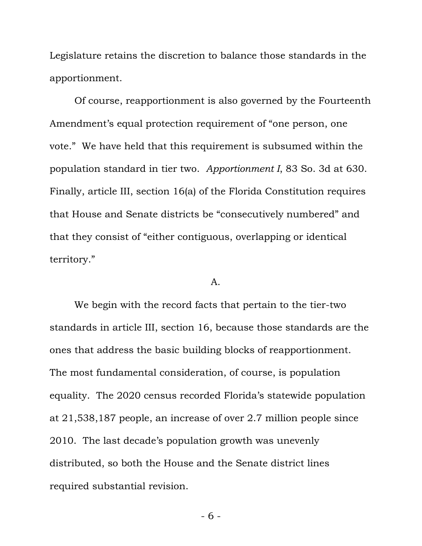Legislature retains the discretion to balance those standards in the apportionment.

Of course, reapportionment is also governed by the Fourteenth Amendment's equal protection requirement of "one person, one vote." We have held that this requirement is subsumed within the population standard in tier two. *Apportionment I*, 83 So. 3d at 630. Finally, article III, section 16(a) of the Florida Constitution requires that House and Senate districts be "consecutively numbered" and that they consist of "either contiguous, overlapping or identical territory."

#### A.

We begin with the record facts that pertain to the tier-two standards in article III, section 16, because those standards are the ones that address the basic building blocks of reapportionment. The most fundamental consideration, of course, is population equality. The 2020 census recorded Florida's statewide population at 21,538,187 people, an increase of over 2.7 million people since 2010. The last decade's population growth was unevenly distributed, so both the House and the Senate district lines required substantial revision.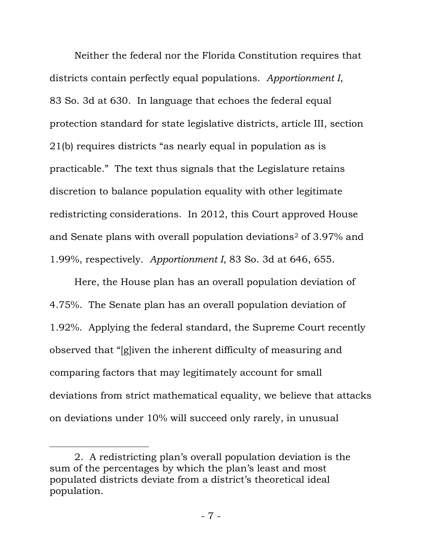Neither the federal nor the Florida Constitution requires that districts contain perfectly equal populations. *Apportionment I*, 83 So. 3d at 630. In language that echoes the federal equal protection standard for state legislative districts, article III, section 21(b) requires districts "as nearly equal in population as is practicable." The text thus signals that the Legislature retains discretion to balance population equality with other legitimate redistricting considerations. In 2012, this Court approved House and Senate plans with overall population deviations[2](#page-6-0) of 3.97% and 1.99%, respectively. *Apportionment I*, 83 So. 3d at 646, 655.

Here, the House plan has an overall population deviation of 4.75%. The Senate plan has an overall population deviation of 1.92%. Applying the federal standard, the Supreme Court recently observed that "[g]iven the inherent difficulty of measuring and comparing factors that may legitimately account for small deviations from strict mathematical equality, we believe that attacks on deviations under 10% will succeed only rarely, in unusual

<span id="page-6-0"></span><sup>2.</sup> A redistricting plan's overall population deviation is the sum of the percentages by which the plan's least and most populated districts deviate from a district's theoretical ideal population.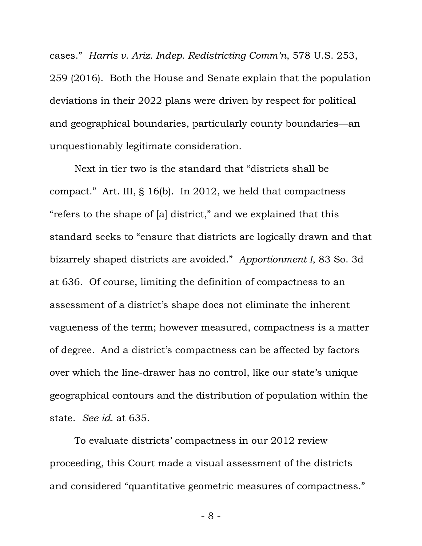cases." *Harris v. Ariz. Indep. Redistricting Comm'n*, 578 U.S. 253, 259 (2016). Both the House and Senate explain that the population deviations in their 2022 plans were driven by respect for political and geographical boundaries, particularly county boundaries—an unquestionably legitimate consideration.

Next in tier two is the standard that "districts shall be compact." Art. III, § 16(b). In 2012, we held that compactness "refers to the shape of [a] district," and we explained that this standard seeks to "ensure that districts are logically drawn and that bizarrely shaped districts are avoided." *Apportionment I*, 83 So. 3d at 636. Of course, limiting the definition of compactness to an assessment of a district's shape does not eliminate the inherent vagueness of the term; however measured, compactness is a matter of degree. And a district's compactness can be affected by factors over which the line-drawer has no control, like our state's unique geographical contours and the distribution of population within the state. *See id.* at 635.

To evaluate districts' compactness in our 2012 review proceeding, this Court made a visual assessment of the districts and considered "quantitative geometric measures of compactness."

- 8 -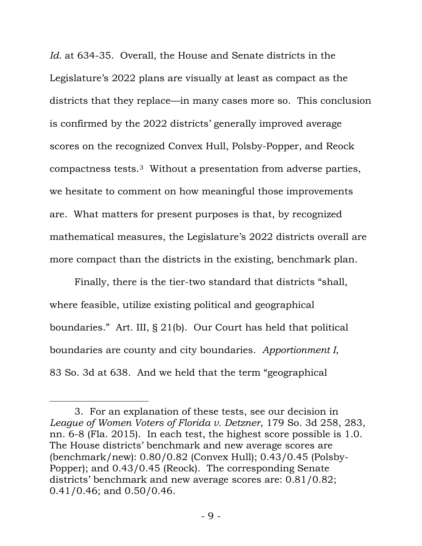*Id.* at 634-35. Overall, the House and Senate districts in the Legislature's 2022 plans are visually at least as compact as the districts that they replace—in many cases more so. This conclusion is confirmed by the 2022 districts' generally improved average scores on the recognized Convex Hull, Polsby-Popper, and Reock compactness tests.[3](#page-8-0) Without a presentation from adverse parties, we hesitate to comment on how meaningful those improvements are. What matters for present purposes is that, by recognized mathematical measures, the Legislature's 2022 districts overall are more compact than the districts in the existing, benchmark plan.

Finally, there is the tier-two standard that districts "shall, where feasible, utilize existing political and geographical boundaries." Art. III, § 21(b). Our Court has held that political boundaries are county and city boundaries. *Apportionment I*, 83 So. 3d at 638. And we held that the term "geographical

<span id="page-8-0"></span><sup>3.</sup> For an explanation of these tests, see our decision in *League of Women Voters of Florida v. Detzner*, 179 So. 3d 258, 283, nn. 6-8 (Fla. 2015). In each test, the highest score possible is 1.0. The House districts' benchmark and new average scores are (benchmark/new): 0.80/0.82 (Convex Hull); 0.43/0.45 (Polsby-Popper); and 0.43/0.45 (Reock). The corresponding Senate districts' benchmark and new average scores are: 0.81/0.82; 0.41/0.46; and 0.50/0.46.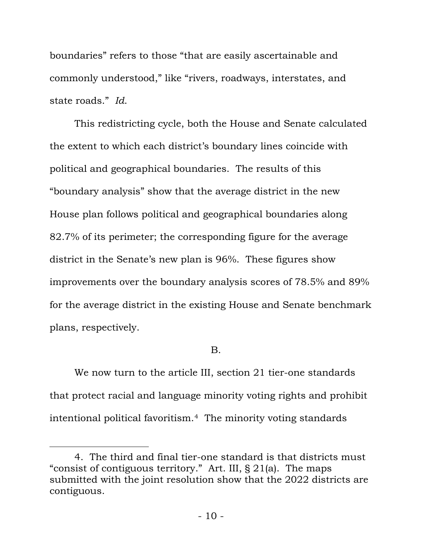boundaries" refers to those "that are easily ascertainable and commonly understood," like "rivers, roadways, interstates, and state roads." *Id*.

This redistricting cycle, both the House and Senate calculated the extent to which each district's boundary lines coincide with political and geographical boundaries. The results of this "boundary analysis" show that the average district in the new House plan follows political and geographical boundaries along 82.7% of its perimeter; the corresponding figure for the average district in the Senate's new plan is 96%. These figures show improvements over the boundary analysis scores of 78.5% and 89% for the average district in the existing House and Senate benchmark plans, respectively.

## B.

We now turn to the article III, section 21 tier-one standards that protect racial and language minority voting rights and prohibit intentional political favoritism.[4](#page-9-0) The minority voting standards

<span id="page-9-0"></span><sup>4.</sup> The third and final tier-one standard is that districts must "consist of contiguous territory." Art. III, § 21(a). The maps submitted with the joint resolution show that the 2022 districts are contiguous.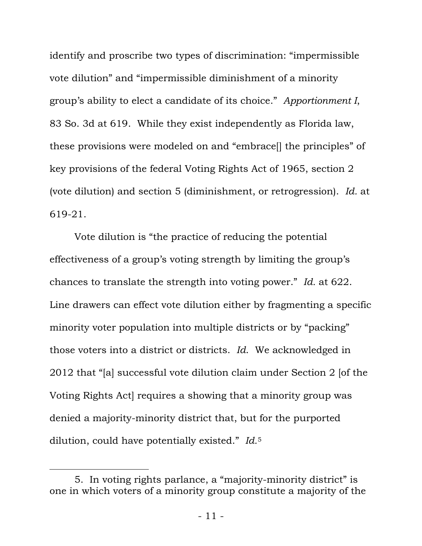identify and proscribe two types of discrimination: "impermissible vote dilution" and "impermissible diminishment of a minority group's ability to elect a candidate of its choice." *Apportionment I*, 83 So. 3d at 619. While they exist independently as Florida law, these provisions were modeled on and "embrace[] the principles" of key provisions of the federal Voting Rights Act of 1965, section 2 (vote dilution) and section 5 (diminishment, or retrogression). *Id.* at 619-21.

Vote dilution is "the practice of reducing the potential effectiveness of a group's voting strength by limiting the group's chances to translate the strength into voting power." *Id.* at 622. Line drawers can effect vote dilution either by fragmenting a specific minority voter population into multiple districts or by "packing" those voters into a district or districts. *Id*. We acknowledged in 2012 that "[a] successful vote dilution claim under Section 2 [of the Voting Rights Act] requires a showing that a minority group was denied a majority-minority district that, but for the purported dilution, could have potentially existed." *Id.*[5](#page-10-0)

<span id="page-10-0"></span><sup>5.</sup> In voting rights parlance, a "majority-minority district" is one in which voters of a minority group constitute a majority of the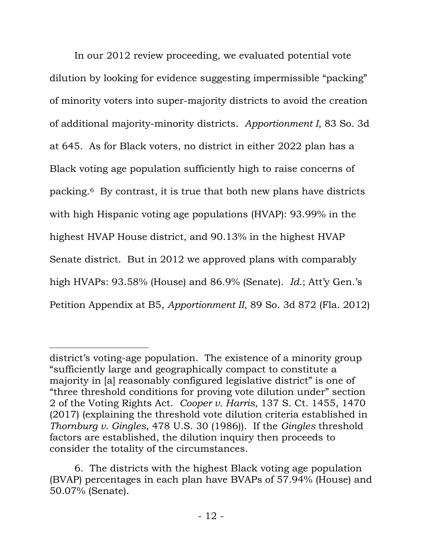In our 2012 review proceeding, we evaluated potential vote dilution by looking for evidence suggesting impermissible "packing" of minority voters into super-majority districts to avoid the creation of additional majority-minority districts. *Apportionment I*, 83 So. 3d at 645. As for Black voters, no district in either 2022 plan has a Black voting age population sufficiently high to raise concerns of packing.[6](#page-11-0) By contrast, it is true that both new plans have districts with high Hispanic voting age populations (HVAP): 93.99% in the highest HVAP House district, and 90.13% in the highest HVAP Senate district. But in 2012 we approved plans with comparably high HVAPs: 93.58% (House) and 86.9% (Senate). *Id*.; Att'y Gen.'s Petition Appendix at B5, *Apportionment II*, 89 So. 3d 872 (Fla. 2012)

district's voting-age population. The existence of a minority group "sufficiently large and geographically compact to constitute a majority in [a] reasonably configured legislative district" is one of "three threshold conditions for proving vote dilution under" section 2 of the Voting Rights Act. *Cooper v. Harris*, 137 S. Ct. 1455, 1470 (2017) (explaining the threshold vote dilution criteria established in *Thornburg v. Gingles*, 478 U.S. 30 (1986)). If the *Gingles* threshold factors are established, the dilution inquiry then proceeds to consider the totality of the circumstances.

<span id="page-11-0"></span><sup>6.</sup> The districts with the highest Black voting age population (BVAP) percentages in each plan have BVAPs of 57.94% (House) and 50.07% (Senate).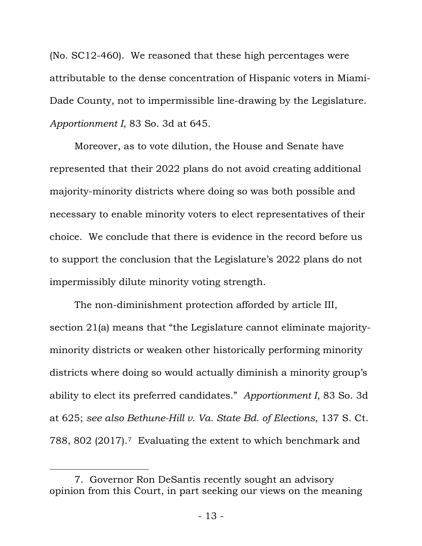(No. SC12-460). We reasoned that these high percentages were attributable to the dense concentration of Hispanic voters in Miami-Dade County, not to impermissible line-drawing by the Legislature. *Apportionment I*, 83 So. 3d at 645.

Moreover, as to vote dilution, the House and Senate have represented that their 2022 plans do not avoid creating additional majority-minority districts where doing so was both possible and necessary to enable minority voters to elect representatives of their choice. We conclude that there is evidence in the record before us to support the conclusion that the Legislature's 2022 plans do not impermissibly dilute minority voting strength.

The non-diminishment protection afforded by article III, section 21(a) means that "the Legislature cannot eliminate majorityminority districts or weaken other historically performing minority districts where doing so would actually diminish a minority group's ability to elect its preferred candidates." *Apportionment I*, 83 So. 3d at 625; *see also Bethune-Hill v. Va. State Bd. of Elections*, 137 S. Ct. 788, 802 (2017).[7](#page-12-0) Evaluating the extent to which benchmark and

<span id="page-12-0"></span><sup>7.</sup> Governor Ron DeSantis recently sought an advisory opinion from this Court, in part seeking our views on the meaning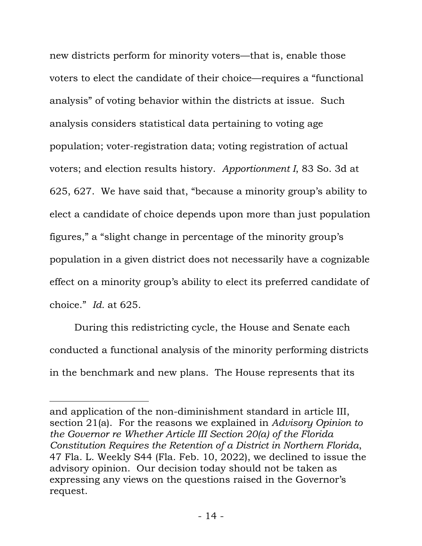new districts perform for minority voters—that is, enable those voters to elect the candidate of their choice—requires a "functional analysis" of voting behavior within the districts at issue. Such analysis considers statistical data pertaining to voting age population; voter-registration data; voting registration of actual voters; and election results history. *Apportionment I*, 83 So. 3d at 625, 627. We have said that, "because a minority group's ability to elect a candidate of choice depends upon more than just population figures," a "slight change in percentage of the minority group's population in a given district does not necessarily have a cognizable effect on a minority group's ability to elect its preferred candidate of choice." *Id.* at 625.

During this redistricting cycle, the House and Senate each conducted a functional analysis of the minority performing districts in the benchmark and new plans. The House represents that its

and application of the non-diminishment standard in article III, section 21(a). For the reasons we explained in *Advisory Opinion to the Governor re Whether Article III Section 20(a) of the Florida Constitution Requires the Retention of a District in Northern Florida*, 47 Fla. L. Weekly S44 (Fla. Feb. 10, 2022), we declined to issue the advisory opinion. Our decision today should not be taken as expressing any views on the questions raised in the Governor's request.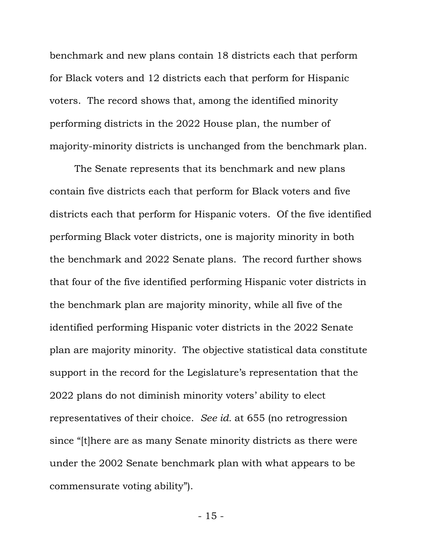benchmark and new plans contain 18 districts each that perform for Black voters and 12 districts each that perform for Hispanic voters. The record shows that, among the identified minority performing districts in the 2022 House plan, the number of majority-minority districts is unchanged from the benchmark plan.

The Senate represents that its benchmark and new plans contain five districts each that perform for Black voters and five districts each that perform for Hispanic voters. Of the five identified performing Black voter districts, one is majority minority in both the benchmark and 2022 Senate plans. The record further shows that four of the five identified performing Hispanic voter districts in the benchmark plan are majority minority, while all five of the identified performing Hispanic voter districts in the 2022 Senate plan are majority minority. The objective statistical data constitute support in the record for the Legislature's representation that the 2022 plans do not diminish minority voters' ability to elect representatives of their choice. *See id.* at 655 (no retrogression since "[t]here are as many Senate minority districts as there were under the 2002 Senate benchmark plan with what appears to be commensurate voting ability").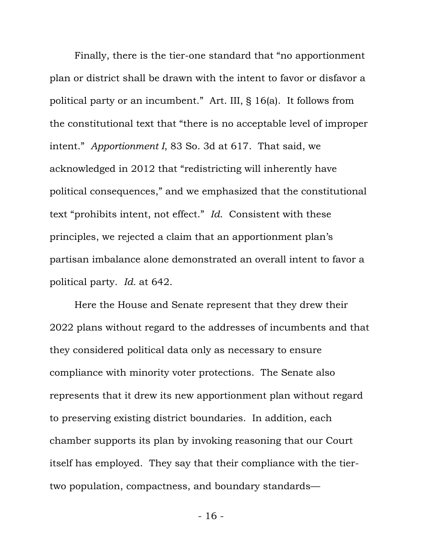Finally, there is the tier-one standard that "no apportionment plan or district shall be drawn with the intent to favor or disfavor a political party or an incumbent." Art. III, § 16(a). It follows from the constitutional text that "there is no acceptable level of improper intent." *Apportionment I*, 83 So. 3d at 617. That said, we acknowledged in 2012 that "redistricting will inherently have political consequences," and we emphasized that the constitutional text "prohibits intent, not effect." *Id*. Consistent with these principles, we rejected a claim that an apportionment plan's partisan imbalance alone demonstrated an overall intent to favor a political party. *Id.* at 642.

Here the House and Senate represent that they drew their 2022 plans without regard to the addresses of incumbents and that they considered political data only as necessary to ensure compliance with minority voter protections. The Senate also represents that it drew its new apportionment plan without regard to preserving existing district boundaries. In addition, each chamber supports its plan by invoking reasoning that our Court itself has employed. They say that their compliance with the tiertwo population, compactness, and boundary standards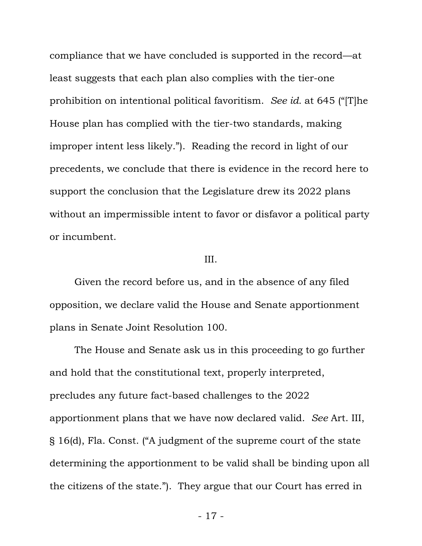compliance that we have concluded is supported in the record—at least suggests that each plan also complies with the tier-one prohibition on intentional political favoritism. *See id.* at 645 ("[T]he House plan has complied with the tier-two standards, making improper intent less likely."). Reading the record in light of our precedents, we conclude that there is evidence in the record here to support the conclusion that the Legislature drew its 2022 plans without an impermissible intent to favor or disfavor a political party or incumbent.

## III.

Given the record before us, and in the absence of any filed opposition, we declare valid the House and Senate apportionment plans in Senate Joint Resolution 100.

The House and Senate ask us in this proceeding to go further and hold that the constitutional text, properly interpreted, precludes any future fact-based challenges to the 2022 apportionment plans that we have now declared valid. *See* Art. III, § 16(d), Fla. Const. ("A judgment of the supreme court of the state determining the apportionment to be valid shall be binding upon all the citizens of the state."). They argue that our Court has erred in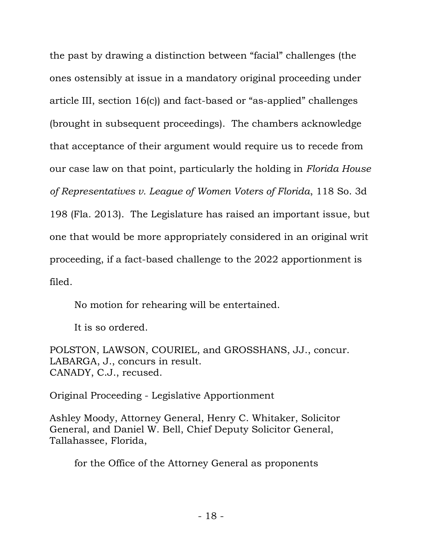the past by drawing a distinction between "facial" challenges (the ones ostensibly at issue in a mandatory original proceeding under article III, section 16(c)) and fact-based or "as-applied" challenges (brought in subsequent proceedings). The chambers acknowledge that acceptance of their argument would require us to recede from our case law on that point, particularly the holding in *Florida House of Representatives v. League of Women Voters of Florida*, 118 So. 3d 198 (Fla. 2013). The Legislature has raised an important issue, but one that would be more appropriately considered in an original writ proceeding, if a fact-based challenge to the 2022 apportionment is filed.

No motion for rehearing will be entertained.

It is so ordered.

POLSTON, LAWSON, COURIEL, and GROSSHANS, JJ., concur. LABARGA, J., concurs in result. CANADY, C.J., recused.

Original Proceeding - Legislative Apportionment

Ashley Moody, Attorney General, Henry C. Whitaker, Solicitor General, and Daniel W. Bell, Chief Deputy Solicitor General, Tallahassee, Florida,

for the Office of the Attorney General as proponents